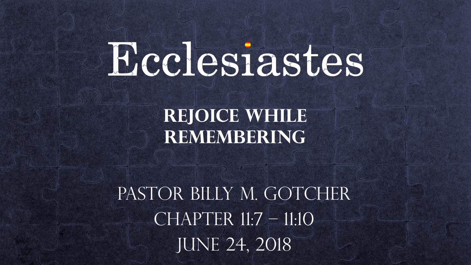# Ecclesiastes

**Rejoice While Remembering**

PASTOR BILLY M. GOTCHER  $CHAPTER 11:7 - 11:10$ JUNE 24, 2018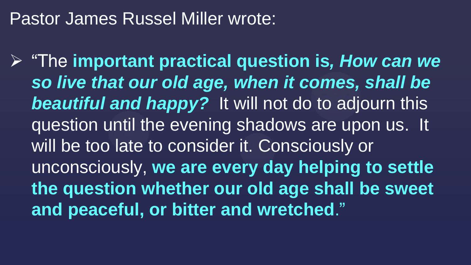## Pastor James Russel Miller wrote:

 "The **important practical question is***, How can we so live that our old age, when it comes, shall be beautiful and happy?* It will not do to adjourn this question until the evening shadows are upon us. It will be too late to consider it. Consciously or unconsciously, **we are every day helping to settle the question whether our old age shall be sweet and peaceful, or bitter and wretched**."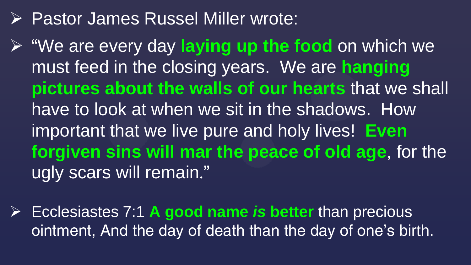## **▶ Pastor James Russel Miller wrote:**

 "We are every day **laying up the food** on which we must feed in the closing years. We are **hanging pictures about the walls of our hearts** that we shall have to look at when we sit in the shadows. How important that we live pure and holy lives! **Even forgiven sins will mar the peace of old age**, for the ugly scars will remain."

 Ecclesiastes 7:1 **A good name** *is* **better** than precious ointment, And the day of death than the day of one's birth.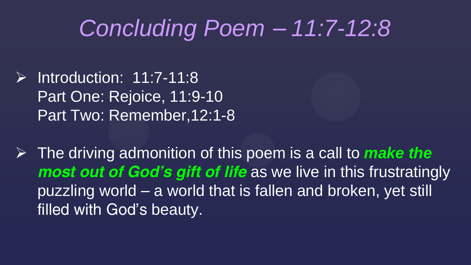## *Concluding Poem – 11:7-12:8*

 $\triangleright$  Introduction: 11:7-11:8 Part One: Rejoice, 11:9-10 Part Two: Remember,12:1-8

 The driving admonition of this poem is a call to *make the most out of God's gift of life* as we live in this frustratingly puzzling world – a world that is fallen and broken, yet still filled with God's beauty.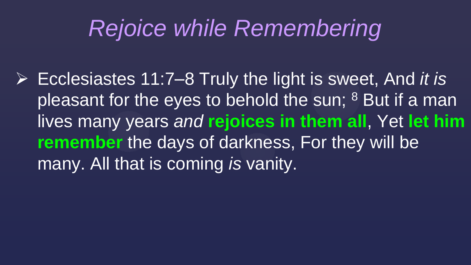## *Rejoice while Remembering*

 Ecclesiastes 11:7–8 Truly the light is sweet, And *it is* pleasant for the eyes to behold the sun; <sup>8</sup> But if a man lives many years *and* **rejoices in them all**, Yet **let him remember** the days of darkness, For they will be many. All that is coming *is* vanity.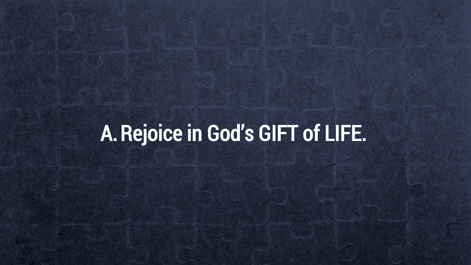## A.Rejoice in God's GIFT of LIFE.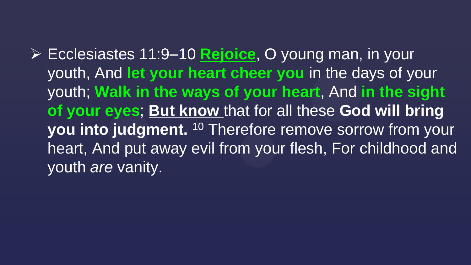Ecclesiastes 11:9–10 **Rejoice**, O young man, in your youth, And **let your heart cheer you** in the days of your youth; **Walk in the ways of your heart**, And **in the sight of your eyes**; **But know** that for all these **God will bring you into judgment.** <sup>10</sup> Therefore remove sorrow from your heart, And put away evil from your flesh, For childhood and youth *are* vanity.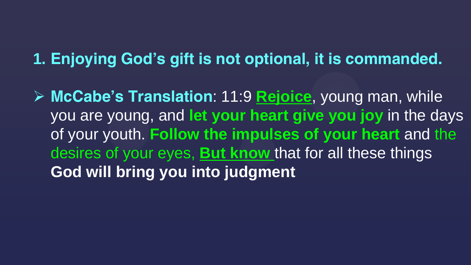### **1. Enjoying God's gift is not optional, it is commanded.**

 **McCabe's Translation**: 11:9 **Rejoice**, young man, while you are young, and **let your heart give you joy** in the days of your youth. **Follow the impulses of your heart** and the desires of your eyes, **But know** that for all these things **God will bring you into judgment**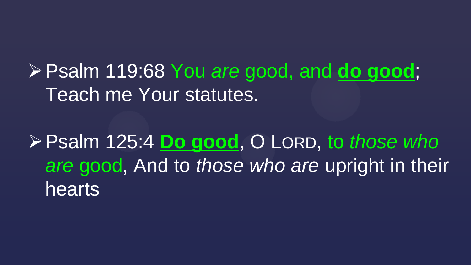Psalm 119:68 You *are* good, and **do good**; Teach me Your statutes.

Psalm 125:4 **Do good**, O LORD, to *those who are* good, And to *those who are* upright in their hearts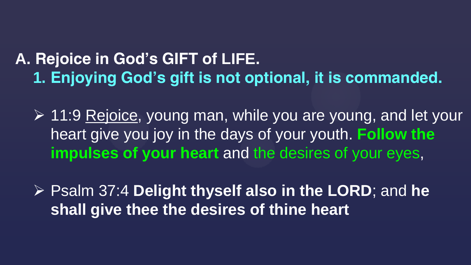### **A. Rejoice in God's GIFT of LIFE. 1. Enjoying God's gift is not optional, it is commanded.**

**► 11:9 Rejoice, young man, while you are young, and let your** heart give you joy in the days of your youth. **Follow the impulses of your heart** and the desires of your eyes,

 Psalm 37:4 **Delight thyself also in the LORD**; and **he shall give thee the desires of thine heart**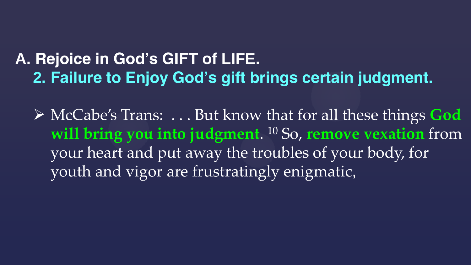## **A. Rejoice in God's GIFT of LIFE. 2. Failure to Enjoy God's gift brings certain judgment.**

 McCabe's Trans: . . . But know that for all these things **God will bring you into judgment**. <sup>10</sup> So, **remove vexation** from your heart and put away the troubles of your body, for youth and vigor are frustratingly enigmatic,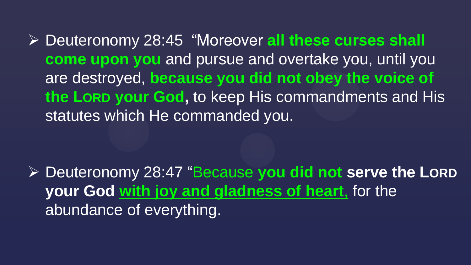Deuteronomy 28:45 "Moreover **all these curses shall come upon you** and pursue and overtake you, until you are destroyed, **because you did not obey the voice of the LORD your God,** to keep His commandments and His statutes which He commanded you.

 Deuteronomy 28:47 "Because **you did not serve the LORD your God with joy and gladness of heart**, for the abundance of everything.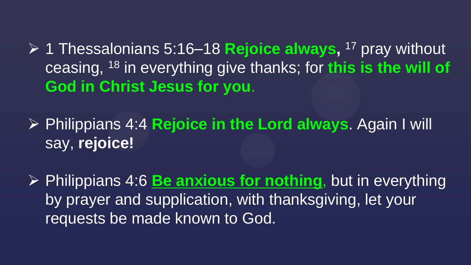1 Thessalonians 5:16–18 **Rejoice always,** <sup>17</sup> pray without ceasing, <sup>18</sup> in everything give thanks; for **this is the will of God in Christ Jesus for you**.

 Philippians 4:4 **Rejoice in the Lord always**. Again I will say, **rejoice!**

 Philippians 4:6 **Be anxious for nothing**, but in everything by prayer and supplication, with thanksgiving, let your, requests be made known to God.